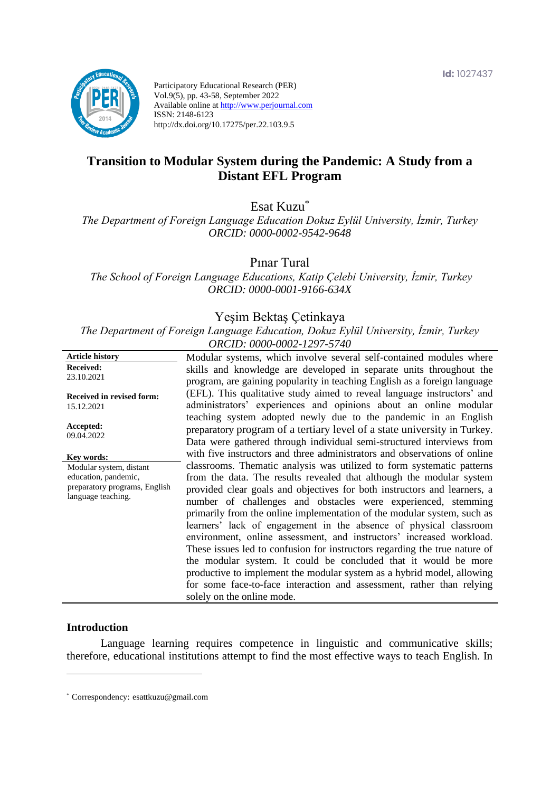

Participatory Educational Research (PER) Vol.9(5), pp. 43-58, September 2022 Available online at http://www.perjournal.com ISSN: 2148-6123 http://dx.doi.org/10.17275/per.22.103.9.5

# **Transition to Modular System during the Pandemic: A Study from a Distant EFL Program**

Esat Kuzu\*

*The Department of Foreign Language Education Dokuz Eylül University, İzmir, Turkey ORCID: 0000-0002-9542-9648*

Pınar Tural

*The School of Foreign Language Educations, Katip Çelebi University, İzmir, Turkey ORCID: 0000-0001-9166-634X*

## Yeşim Bektaş Çetinkaya

*The Department of Foreign Language Education, Dokuz Eylül University, İzmir, Turkey ORCID: 0000-0002-1297-5740*

| <b>Article history</b>                  | Modular systems, which involve several self-contained modules where                                                                                                                                                  |
|-----------------------------------------|----------------------------------------------------------------------------------------------------------------------------------------------------------------------------------------------------------------------|
| Received:                               | skills and knowledge are developed in separate units throughout the                                                                                                                                                  |
| 23.10.2021                              | program, are gaining popularity in teaching English as a foreign language                                                                                                                                            |
| Received in revised form:<br>15.12.2021 | (EFL). This qualitative study aimed to reveal language instructors' and<br>administrators' experiences and opinions about an online modular                                                                          |
| Accepted:<br>09.04.2022                 | teaching system adopted newly due to the pandemic in an English<br>preparatory program of a tertiary level of a state university in Turkey.<br>Data were gathered through individual semi-structured interviews from |
| Key words:                              | with five instructors and three administrators and observations of online                                                                                                                                            |
| Modular system, distant                 | classrooms. Thematic analysis was utilized to form systematic patterns                                                                                                                                               |
| education, pandemic,                    | from the data. The results revealed that although the modular system                                                                                                                                                 |
| preparatory programs, English           | provided clear goals and objectives for both instructors and learners, a                                                                                                                                             |
| language teaching.                      | number of challenges and obstacles were experienced, stemming                                                                                                                                                        |
|                                         | primarily from the online implementation of the modular system, such as                                                                                                                                              |
|                                         | learners' lack of engagement in the absence of physical classroom                                                                                                                                                    |
|                                         | environment, online assessment, and instructors' increased workload.                                                                                                                                                 |
|                                         | These issues led to confusion for instructors regarding the true nature of                                                                                                                                           |
|                                         | the modular system. It could be concluded that it would be more                                                                                                                                                      |
|                                         | productive to implement the modular system as a hybrid model, allowing                                                                                                                                               |
|                                         | for some face-to-face interaction and assessment, rather than relying                                                                                                                                                |
|                                         | solely on the online mode.                                                                                                                                                                                           |

#### **Introduction**

Language learning requires competence in linguistic and communicative skills; therefore, educational institutions attempt to find the most effective ways to teach English. In

<sup>\*</sup> [Correspondency:](mailto:Correspondency:) esattkuzu@gmail.com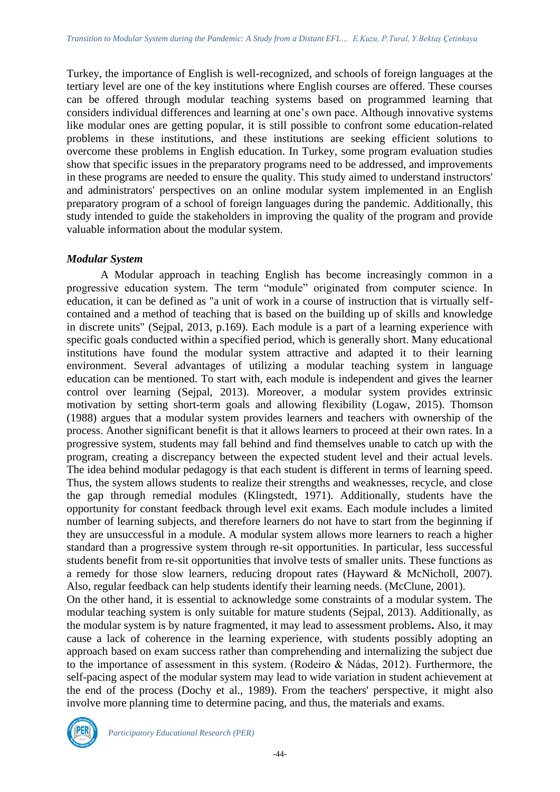Turkey, the importance of English is well-recognized, and schools of foreign languages at the tertiary level are one of the key institutions where English courses are offered. These courses can be offered through modular teaching systems based on programmed learning that considers individual differences and learning at one's own pace. Although innovative systems like modular ones are getting popular, it is still possible to confront some education-related problems in these institutions, and these institutions are seeking efficient solutions to overcome these problems in English education. In Turkey, some program evaluation studies show that specific issues in the preparatory programs need to be addressed, and improvements in these programs are needed to ensure the quality. This study aimed to understand instructors' and administrators' perspectives on an online modular system implemented in an English preparatory program of a school of foreign languages during the pandemic. Additionally, this study intended to guide the stakeholders in improving the quality of the program and provide valuable information about the modular system.

## *Modular System*

A Modular approach in teaching English has become increasingly common in a progressive education system. The term "module" originated from computer science. In education, it can be defined as "a unit of work in a course of instruction that is virtually selfcontained and a method of teaching that is based on the building up of skills and knowledge in discrete units" (Sejpal, 2013, p.169). Each module is a part of a learning experience with specific goals conducted within a specified period, which is generally short. Many educational institutions have found the modular system attractive and adapted it to their learning environment. Several advantages of utilizing a modular teaching system in language education can be mentioned. To start with, each module is independent and gives the learner control over learning (Sejpal, 2013). Moreover, a modular system provides extrinsic motivation by setting short-term goals and allowing flexibility (Logaw, 2015). Thomson (1988) argues that a modular system provides learners and teachers with ownership of the process. Another significant benefit is that it allows learners to proceed at their own rates. In a progressive system, students may fall behind and find themselves unable to catch up with the program, creating a discrepancy between the expected student level and their actual levels. The idea behind modular pedagogy is that each student is different in terms of learning speed. Thus, the system allows students to realize their strengths and weaknesses, recycle, and close the gap through remedial modules (Klingstedt, 1971). Additionally, students have the opportunity for constant feedback through level exit exams. Each module includes a limited number of learning subjects, and therefore learners do not have to start from the beginning if they are unsuccessful in a module. A modular system allows more learners to reach a higher standard than a progressive system through re-sit opportunities. In particular, less successful students benefit from re-sit opportunities that involve tests of smaller units. These functions as a remedy for those slow learners, reducing dropout rates (Hayward & McNicholl, 2007). Also, regular feedback can help students identify their learning needs. (McClune, 2001).

On the other hand, it is essential to acknowledge some constraints of a modular system. The modular teaching system is only suitable for mature students (Sejpal, 2013). Additionally, as the modular system is by nature fragmented, it may lead to assessment problems**.** Also, it may cause a lack of coherence in the learning experience, with students possibly adopting an approach based on exam success rather than comprehending and internalizing the subject due to the importance of assessment in this system. (Rodeiro & Nádas, 2012). Furthermore, the self-pacing aspect of the modular system may lead to wide variation in student achievement at the end of the process (Dochy et al., 1989). From the teachers' perspective, it might also involve more planning time to determine pacing, and thus, the materials and exams.

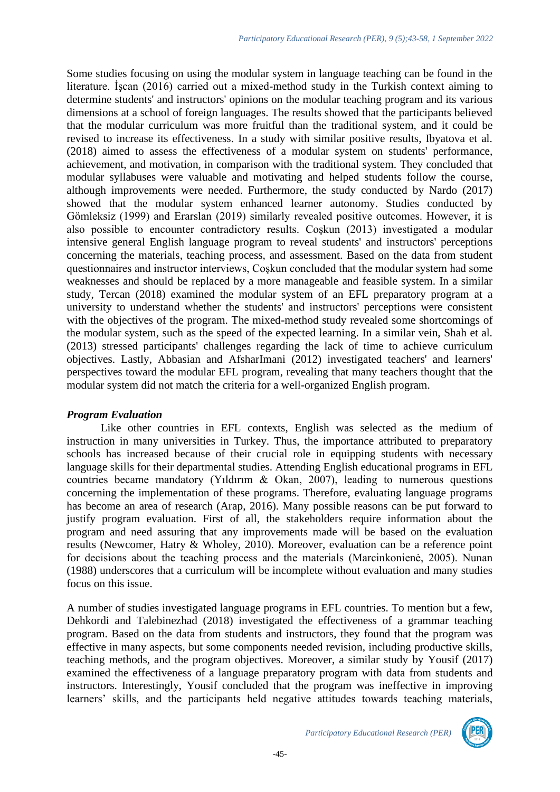Some studies focusing on using the modular system in language teaching can be found in the literature. İşcan (2016) carried out a mixed-method study in the Turkish context aiming to determine students' and instructors' opinions on the modular teaching program and its various dimensions at a school of foreign languages. The results showed that the participants believed that the modular curriculum was more fruitful than the traditional system, and it could be revised to increase its effectiveness. In a study with similar positive results, Ibyatova et al. (2018) aimed to assess the effectiveness of a modular system on students' performance, achievement, and motivation, in comparison with the traditional system. They concluded that modular syllabuses were valuable and motivating and helped students follow the course, although improvements were needed. Furthermore, the study conducted by Nardo (2017) showed that the modular system enhanced learner autonomy. Studies conducted by Gömleksiz (1999) and Erarslan (2019) similarly revealed positive outcomes. However, it is also possible to encounter contradictory results. Coşkun (2013) investigated a modular intensive general English language program to reveal students' and instructors' perceptions concerning the materials, teaching process, and assessment. Based on the data from student questionnaires and instructor interviews, Coşkun concluded that the modular system had some weaknesses and should be replaced by a more manageable and feasible system. In a similar study, Tercan (2018) examined the modular system of an EFL preparatory program at a university to understand whether the students' and instructors' perceptions were consistent with the objectives of the program. The mixed-method study revealed some shortcomings of the modular system, such as the speed of the expected learning. In a similar vein, Shah et al. (2013) stressed participants' challenges regarding the lack of time to achieve curriculum objectives. Lastly, Abbasian and AfsharImani (2012) investigated teachers' and learners' perspectives toward the modular EFL program, revealing that many teachers thought that the modular system did not match the criteria for a well-organized English program.

## *Program Evaluation*

Like other countries in EFL contexts, English was selected as the medium of instruction in many universities in Turkey. Thus, the importance attributed to preparatory schools has increased because of their crucial role in equipping students with necessary language skills for their departmental studies. Attending English educational programs in EFL countries became mandatory (Yıldırım & Okan, 2007), leading to numerous questions concerning the implementation of these programs. Therefore, evaluating language programs has become an area of research (Arap, 2016). Many possible reasons can be put forward to justify program evaluation. First of all, the stakeholders require information about the program and need assuring that any improvements made will be based on the evaluation results (Newcomer, Hatry & Wholey, 2010). Moreover, evaluation can be a reference point for decisions about the teaching process and the materials (Marcinkonienė, 2005). Nunan (1988) underscores that a curriculum will be incomplete without evaluation and many studies focus on this issue.

A number of studies investigated language programs in EFL countries. To mention but a few, Dehkordi and Talebinezhad (2018) investigated the effectiveness of a grammar teaching program. Based on the data from students and instructors, they found that the program was effective in many aspects, but some components needed revision, including productive skills, teaching methods, and the program objectives. Moreover, a similar study by Yousif (2017) examined the effectiveness of a language preparatory program with data from students and instructors. Interestingly, Yousif concluded that the program was ineffective in improving learners' skills, and the participants held negative attitudes towards teaching materials,

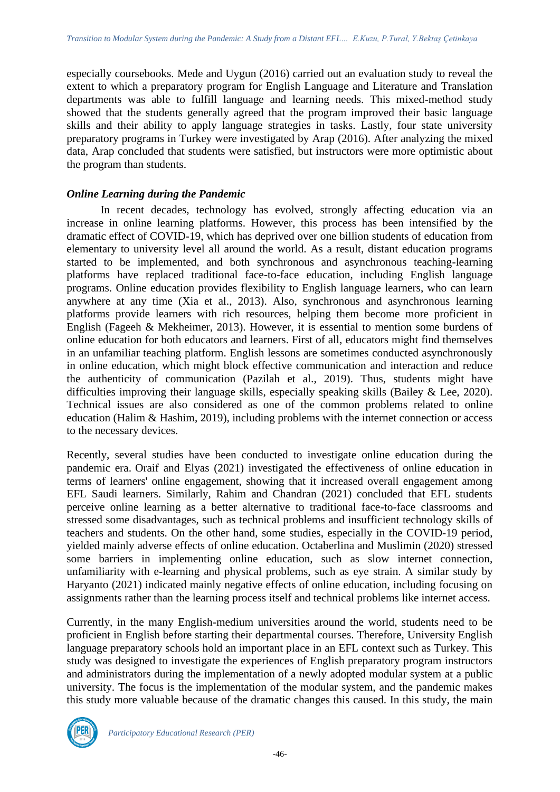especially coursebooks. Mede and Uygun (2016) carried out an evaluation study to reveal the extent to which a preparatory program for English Language and Literature and Translation departments was able to fulfill language and learning needs. This mixed-method study showed that the students generally agreed that the program improved their basic language skills and their ability to apply language strategies in tasks. Lastly, four state university preparatory programs in Turkey were investigated by Arap (2016). After analyzing the mixed data, Arap concluded that students were satisfied, but instructors were more optimistic about the program than students.

## *Online Learning during the Pandemic*

In recent decades, technology has evolved, strongly affecting education via an increase in online learning platforms. However, this process has been intensified by the dramatic effect of COVID-19, which has deprived over one billion students of education from elementary to university level all around the world. As a result, distant education programs started to be implemented, and both synchronous and asynchronous teaching-learning platforms have replaced traditional face-to-face education, including English language programs. Online education provides flexibility to English language learners, who can learn anywhere at any time (Xia et al., 2013). Also, synchronous and asynchronous learning platforms provide learners with rich resources, helping them become more proficient in English (Fageeh & Mekheimer, 2013). However, it is essential to mention some burdens of online education for both educators and learners. First of all, educators might find themselves in an unfamiliar teaching platform. English lessons are sometimes conducted asynchronously in online education, which might block effective communication and interaction and reduce the authenticity of communication (Pazilah et al., 2019). Thus, students might have difficulties improving their language skills, especially speaking skills (Bailey & Lee, 2020). Technical issues are also considered as one of the common problems related to online education (Halim & Hashim, 2019), including problems with the internet connection or access to the necessary devices.

Recently, several studies have been conducted to investigate online education during the pandemic era. Oraif and Elyas (2021) investigated the effectiveness of online education in terms of learners' online engagement, showing that it increased overall engagement among EFL Saudi learners. Similarly, Rahim and Chandran (2021) concluded that EFL students perceive online learning as a better alternative to traditional face-to-face classrooms and stressed some disadvantages, such as technical problems and insufficient technology skills of teachers and students. On the other hand, some studies, especially in the COVID-19 period, yielded mainly adverse effects of online education. Octaberlina and Muslimin (2020) stressed some barriers in implementing online education, such as slow internet connection, unfamiliarity with e-learning and physical problems, such as eye strain. A similar study by Haryanto (2021) indicated mainly negative effects of online education, including focusing on assignments rather than the learning process itself and technical problems like internet access.

Currently, in the many English-medium universities around the world, students need to be proficient in English before starting their departmental courses. Therefore, University English language preparatory schools hold an important place in an EFL context such as Turkey. This study was designed to investigate the experiences of English preparatory program instructors and administrators during the implementation of a newly adopted modular system at a public university. The focus is the implementation of the modular system, and the pandemic makes this study more valuable because of the dramatic changes this caused. In this study, the main



*Participatory Educational Research (PER)*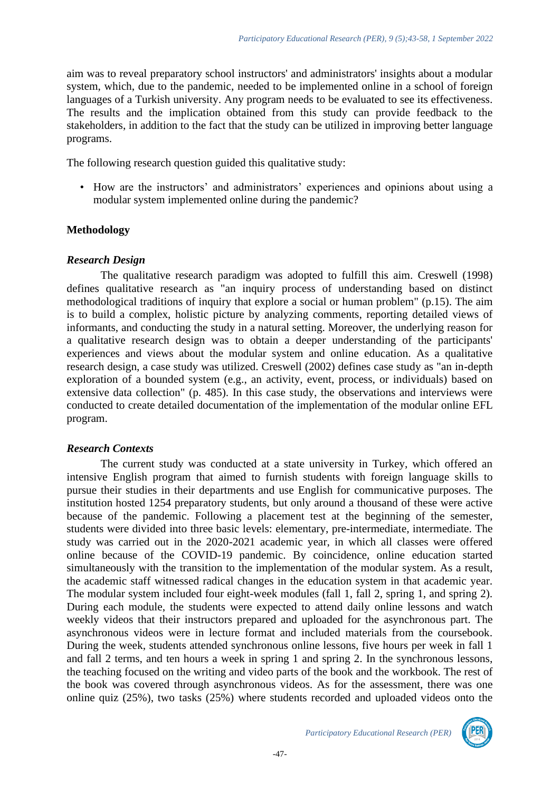aim was to reveal preparatory school instructors' and administrators' insights about a modular system, which, due to the pandemic, needed to be implemented online in a school of foreign languages of a Turkish university. Any program needs to be evaluated to see its effectiveness. The results and the implication obtained from this study can provide feedback to the stakeholders, in addition to the fact that the study can be utilized in improving better language programs.

The following research question guided this qualitative study:

• How are the instructors' and administrators' experiences and opinions about using a modular system implemented online during the pandemic?

## **Methodology**

## *Research Design*

The qualitative research paradigm was adopted to fulfill this aim. Creswell (1998) defines qualitative research as "an inquiry process of understanding based on distinct methodological traditions of inquiry that explore a social or human problem" (p.15). The aim is to build a complex, holistic picture by analyzing comments, reporting detailed views of informants, and conducting the study in a natural setting. Moreover, the underlying reason for a qualitative research design was to obtain a deeper understanding of the participants' experiences and views about the modular system and online education. As a qualitative research design, a case study was utilized. Creswell (2002) defines case study as "an in-depth exploration of a bounded system (e.g., an activity, event, process, or individuals) based on extensive data collection" (p. 485). In this case study, the observations and interviews were conducted to create detailed documentation of the implementation of the modular online EFL program.

## *Research Contexts*

The current study was conducted at a state university in Turkey, which offered an intensive English program that aimed to furnish students with foreign language skills to pursue their studies in their departments and use English for communicative purposes. The institution hosted 1254 preparatory students, but only around a thousand of these were active because of the pandemic. Following a placement test at the beginning of the semester, students were divided into three basic levels: elementary, pre-intermediate, intermediate. The study was carried out in the 2020-2021 academic year, in which all classes were offered online because of the COVID-19 pandemic. By coincidence, online education started simultaneously with the transition to the implementation of the modular system. As a result, the academic staff witnessed radical changes in the education system in that academic year. The modular system included four eight-week modules (fall 1, fall 2, spring 1, and spring 2). During each module, the students were expected to attend daily online lessons and watch weekly videos that their instructors prepared and uploaded for the asynchronous part. The asynchronous videos were in lecture format and included materials from the coursebook. During the week, students attended synchronous online lessons, five hours per week in fall 1 and fall 2 terms, and ten hours a week in spring 1 and spring 2. In the synchronous lessons, the teaching focused on the writing and video parts of the book and the workbook. The rest of the book was covered through asynchronous videos. As for the assessment, there was one online quiz (25%), two tasks (25%) where students recorded and uploaded videos onto the

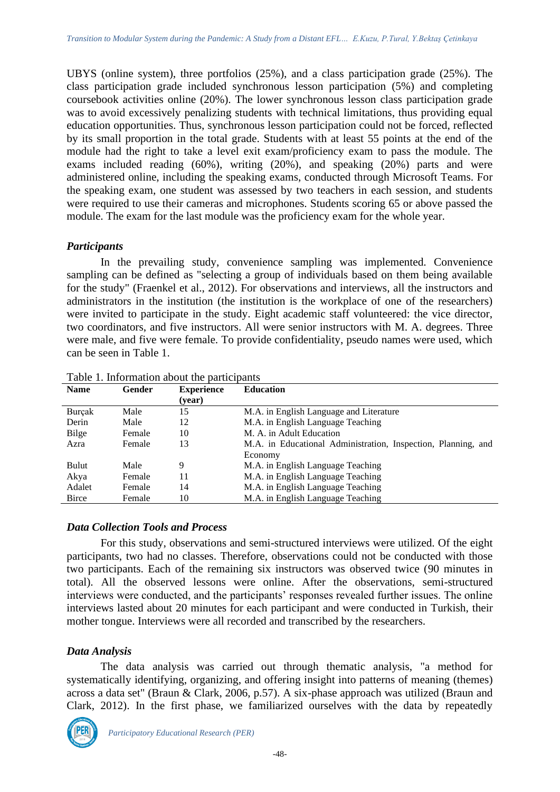UBYS (online system), three portfolios (25%), and a class participation grade (25%). The class participation grade included synchronous lesson participation (5%) and completing coursebook activities online (20%). The lower synchronous lesson class participation grade was to avoid excessively penalizing students with technical limitations, thus providing equal education opportunities. Thus, synchronous lesson participation could not be forced, reflected by its small proportion in the total grade. Students with at least 55 points at the end of the module had the right to take a level exit exam/proficiency exam to pass the module. The exams included reading (60%), writing (20%), and speaking (20%) parts and were administered online, including the speaking exams, conducted through Microsoft Teams. For the speaking exam, one student was assessed by two teachers in each session, and students were required to use their cameras and microphones. Students scoring 65 or above passed the module. The exam for the last module was the proficiency exam for the whole year.

## *Participants*

In the prevailing study, convenience sampling was implemented. Convenience sampling can be defined as "selecting a group of individuals based on them being available for the study" (Fraenkel et al., 2012). For observations and interviews, all the instructors and administrators in the institution (the institution is the workplace of one of the researchers) were invited to participate in the study. Eight academic staff volunteered: the vice director, two coordinators, and five instructors. All were senior instructors with M. A. degrees. Three were male, and five were female. To provide confidentiality, pseudo names were used, which can be seen in Table 1.

| <b>Name</b>  | Gender | <b>Experience</b> | <b>Education</b>                                              |
|--------------|--------|-------------------|---------------------------------------------------------------|
|              |        | (year)            |                                                               |
| Burcak       | Male   | 15                | M.A. in English Language and Literature                       |
| Derin        | Male   | 12                | M.A. in English Language Teaching                             |
| Bilge        | Female | 10                | M. A. in Adult Education                                      |
| Azra         | Female | 13                | M.A. in Educational Administration, Inspection, Planning, and |
|              |        |                   | Economy                                                       |
| Bulut        | Male   | 9                 | M.A. in English Language Teaching                             |
| Akya         | Female | 11                | M.A. in English Language Teaching                             |
| Adalet       | Female | 14                | M.A. in English Language Teaching                             |
| <b>Birce</b> | Female | 10                | M.A. in English Language Teaching                             |

Table 1. Information about the participants

## *Data Collection Tools and Process*

For this study, observations and semi-structured interviews were utilized. Of the eight participants, two had no classes. Therefore, observations could not be conducted with those two participants. Each of the remaining six instructors was observed twice (90 minutes in total). All the observed lessons were online. After the observations, semi-structured interviews were conducted, and the participants' responses revealed further issues. The online interviews lasted about 20 minutes for each participant and were conducted in Turkish, their mother tongue. Interviews were all recorded and transcribed by the researchers.

## *Data Analysis*

The data analysis was carried out through thematic analysis, "a method for systematically identifying, organizing, and offering insight into patterns of meaning (themes) across a data set" (Braun & Clark, 2006, p.57). A six-phase approach was utilized (Braun and Clark, 2012). In the first phase, we familiarized ourselves with the data by repeatedly

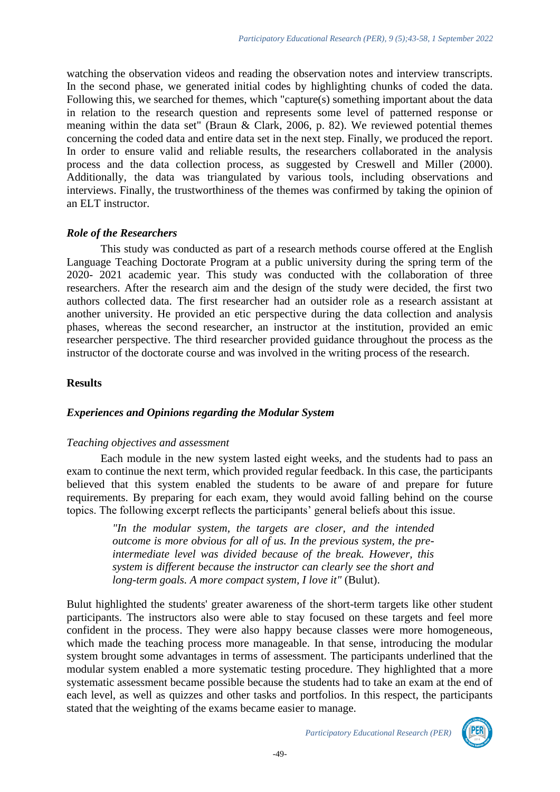watching the observation videos and reading the observation notes and interview transcripts. In the second phase, we generated initial codes by highlighting chunks of coded the data. Following this, we searched for themes, which "capture(s) something important about the data in relation to the research question and represents some level of patterned response or meaning within the data set" (Braun & Clark, 2006, p. 82). We reviewed potential themes concerning the coded data and entire data set in the next step. Finally, we produced the report. In order to ensure valid and reliable results, the researchers collaborated in the analysis process and the data collection process, as suggested by Creswell and Miller (2000). Additionally, the data was triangulated by various tools, including observations and interviews. Finally, the trustworthiness of the themes was confirmed by taking the opinion of an ELT instructor.

## *Role of the Researchers*

This study was conducted as part of a research methods course offered at the English Language Teaching Doctorate Program at a public university during the spring term of the 2020- 2021 academic year. This study was conducted with the collaboration of three researchers. After the research aim and the design of the study were decided, the first two authors collected data. The first researcher had an outsider role as a research assistant at another university. He provided an etic perspective during the data collection and analysis phases, whereas the second researcher, an instructor at the institution, provided an emic researcher perspective. The third researcher provided guidance throughout the process as the instructor of the doctorate course and was involved in the writing process of the research.

## **Results**

## *Experiences and Opinions regarding the Modular System*

## *Teaching objectives and assessment*

Each module in the new system lasted eight weeks, and the students had to pass an exam to continue the next term, which provided regular feedback. In this case, the participants believed that this system enabled the students to be aware of and prepare for future requirements. By preparing for each exam, they would avoid falling behind on the course topics. The following excerpt reflects the participants' general beliefs about this issue.

> *"In the modular system, the targets are closer, and the intended outcome is more obvious for all of us. In the previous system, the preintermediate level was divided because of the break. However, this system is different because the instructor can clearly see the short and long-term goals. A more compact system, I love it"* (Bulut).

Bulut highlighted the students' greater awareness of the short-term targets like other student participants. The instructors also were able to stay focused on these targets and feel more confident in the process. They were also happy because classes were more homogeneous, which made the teaching process more manageable. In that sense, introducing the modular system brought some advantages in terms of assessment. The participants underlined that the modular system enabled a more systematic testing procedure. They highlighted that a more systematic assessment became possible because the students had to take an exam at the end of each level, as well as quizzes and other tasks and portfolios. In this respect, the participants stated that the weighting of the exams became easier to manage.

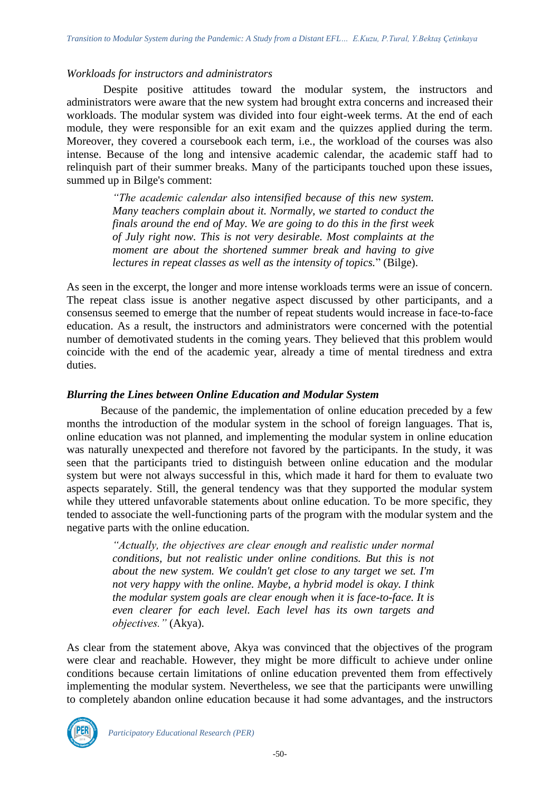## *Workloads for instructors and administrators*

Despite positive attitudes toward the modular system, the instructors and administrators were aware that the new system had brought extra concerns and increased their workloads. The modular system was divided into four eight-week terms. At the end of each module, they were responsible for an exit exam and the quizzes applied during the term. Moreover, they covered a coursebook each term, i.e., the workload of the courses was also intense. Because of the long and intensive academic calendar, the academic staff had to relinquish part of their summer breaks. Many of the participants touched upon these issues, summed up in Bilge's comment:

> *"The academic calendar also intensified because of this new system. Many teachers complain about it. Normally, we started to conduct the finals around the end of May. We are going to do this in the first week of July right now. This is not very desirable. Most complaints at the moment are about the shortened summer break and having to give lectures in repeat classes as well as the intensity of topics.*" (Bilge).

As seen in the excerpt, the longer and more intense workloads terms were an issue of concern. The repeat class issue is another negative aspect discussed by other participants, and a consensus seemed to emerge that the number of repeat students would increase in face-to-face education. As a result, the instructors and administrators were concerned with the potential number of demotivated students in the coming years. They believed that this problem would coincide with the end of the academic year, already a time of mental tiredness and extra duties.

## *Blurring the Lines between Online Education and Modular System*

Because of the pandemic, the implementation of online education preceded by a few months the introduction of the modular system in the school of foreign languages. That is, online education was not planned, and implementing the modular system in online education was naturally unexpected and therefore not favored by the participants. In the study, it was seen that the participants tried to distinguish between online education and the modular system but were not always successful in this, which made it hard for them to evaluate two aspects separately. Still, the general tendency was that they supported the modular system while they uttered unfavorable statements about online education. To be more specific, they tended to associate the well-functioning parts of the program with the modular system and the negative parts with the online education.

> *"Actually, the objectives are clear enough and realistic under normal conditions, but not realistic under online conditions. But this is not about the new system. We couldn't get close to any target we set. I'm not very happy with the online. Maybe, a hybrid model is okay. I think the modular system goals are clear enough when it is face-to-face. It is even clearer for each level. Each level has its own targets and objectives."* (Akya).

As clear from the statement above, Akya was convinced that the objectives of the program were clear and reachable. However, they might be more difficult to achieve under online conditions because certain limitations of online education prevented them from effectively implementing the modular system. Nevertheless, we see that the participants were unwilling to completely abandon online education because it had some advantages, and the instructors

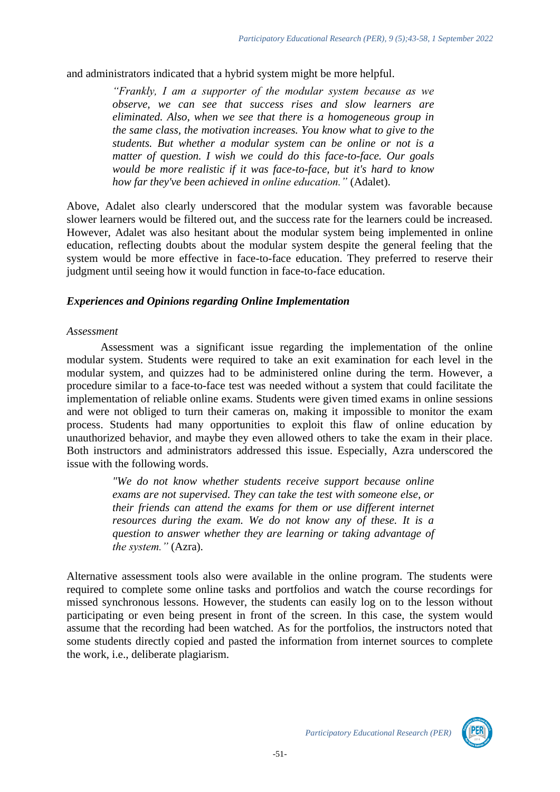and administrators indicated that a hybrid system might be more helpful.

*"Frankly, I am a supporter of the modular system because as we observe, we can see that success rises and slow learners are eliminated. Also, when we see that there is a homogeneous group in the same class, the motivation increases. You know what to give to the students. But whether a modular system can be online or not is a matter of question. I wish we could do this face-to-face. Our goals would be more realistic if it was face-to-face, but it's hard to know how far they've been achieved in online education."* (Adalet).

Above, Adalet also clearly underscored that the modular system was favorable because slower learners would be filtered out, and the success rate for the learners could be increased. However, Adalet was also hesitant about the modular system being implemented in online education, reflecting doubts about the modular system despite the general feeling that the system would be more effective in face-to-face education. They preferred to reserve their judgment until seeing how it would function in face-to-face education.

## *Experiences and Opinions regarding Online Implementation*

#### *Assessment*

Assessment was a significant issue regarding the implementation of the online modular system. Students were required to take an exit examination for each level in the modular system, and quizzes had to be administered online during the term. However, a procedure similar to a face-to-face test was needed without a system that could facilitate the implementation of reliable online exams. Students were given timed exams in online sessions and were not obliged to turn their cameras on, making it impossible to monitor the exam process. Students had many opportunities to exploit this flaw of online education by unauthorized behavior, and maybe they even allowed others to take the exam in their place. Both instructors and administrators addressed this issue. Especially, Azra underscored the issue with the following words.

> *"We do not know whether students receive support because online exams are not supervised. They can take the test with someone else, or their friends can attend the exams for them or use different internet resources during the exam. We do not know any of these. It is a question to answer whether they are learning or taking advantage of the system."* (Azra).

Alternative assessment tools also were available in the online program. The students were required to complete some online tasks and portfolios and watch the course recordings for missed synchronous lessons. However, the students can easily log on to the lesson without participating or even being present in front of the screen. In this case, the system would assume that the recording had been watched. As for the portfolios, the instructors noted that some students directly copied and pasted the information from internet sources to complete the work, i.e., deliberate plagiarism.

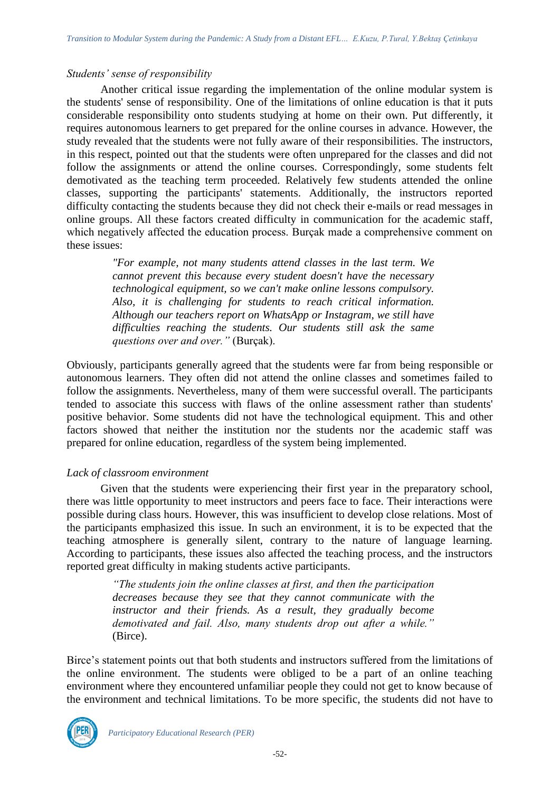## *Students' sense of responsibility*

Another critical issue regarding the implementation of the online modular system is the students' sense of responsibility. One of the limitations of online education is that it puts considerable responsibility onto students studying at home on their own. Put differently, it requires autonomous learners to get prepared for the online courses in advance. However, the study revealed that the students were not fully aware of their responsibilities. The instructors, in this respect, pointed out that the students were often unprepared for the classes and did not follow the assignments or attend the online courses. Correspondingly, some students felt demotivated as the teaching term proceeded. Relatively few students attended the online classes, supporting the participants' statements. Additionally, the instructors reported difficulty contacting the students because they did not check their e-mails or read messages in online groups. All these factors created difficulty in communication for the academic staff, which negatively affected the education process. Burçak made a comprehensive comment on these issues:

> *"For example, not many students attend classes in the last term. We cannot prevent this because every student doesn't have the necessary technological equipment, so we can't make online lessons compulsory. Also, it is challenging for students to reach critical information. Although our teachers report on WhatsApp or Instagram, we still have difficulties reaching the students. Our students still ask the same questions over and over."* (Burçak).

Obviously, participants generally agreed that the students were far from being responsible or autonomous learners. They often did not attend the online classes and sometimes failed to follow the assignments. Nevertheless, many of them were successful overall. The participants tended to associate this success with flaws of the online assessment rather than students' positive behavior. Some students did not have the technological equipment. This and other factors showed that neither the institution nor the students nor the academic staff was prepared for online education, regardless of the system being implemented.

## *Lack of classroom environment*

Given that the students were experiencing their first year in the preparatory school, there was little opportunity to meet instructors and peers face to face. Their interactions were possible during class hours. However, this was insufficient to develop close relations. Most of the participants emphasized this issue. In such an environment, it is to be expected that the teaching atmosphere is generally silent, contrary to the nature of language learning. According to participants, these issues also affected the teaching process, and the instructors reported great difficulty in making students active participants.

> *"The students join the online classes at first, and then the participation decreases because they see that they cannot communicate with the instructor and their friends. As a result, they gradually become demotivated and fail. Also, many students drop out after a while."*  (Birce).

Birce's statement points out that both students and instructors suffered from the limitations of the online environment. The students were obliged to be a part of an online teaching environment where they encountered unfamiliar people they could not get to know because of the environment and technical limitations. To be more specific, the students did not have to

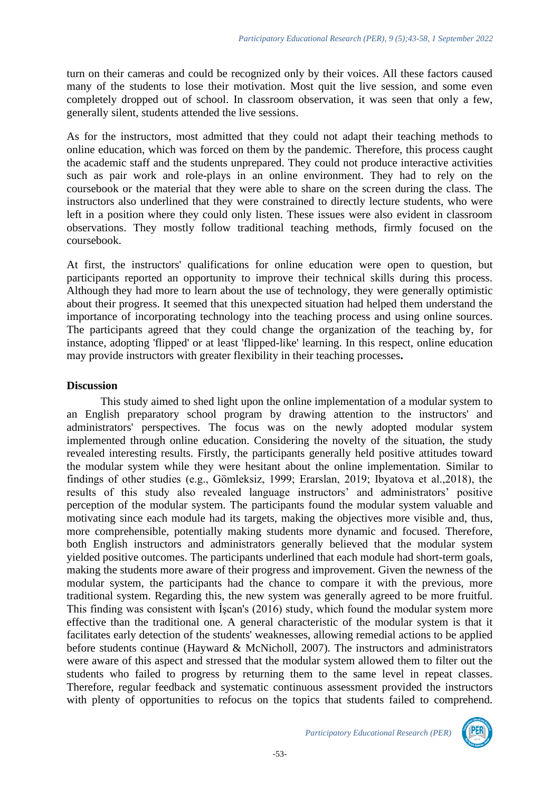turn on their cameras and could be recognized only by their voices. All these factors caused many of the students to lose their motivation. Most quit the live session, and some even completely dropped out of school. In classroom observation, it was seen that only a few, generally silent, students attended the live sessions.

As for the instructors, most admitted that they could not adapt their teaching methods to online education, which was forced on them by the pandemic. Therefore, this process caught the academic staff and the students unprepared. They could not produce interactive activities such as pair work and role-plays in an online environment. They had to rely on the coursebook or the material that they were able to share on the screen during the class. The instructors also underlined that they were constrained to directly lecture students, who were left in a position where they could only listen. These issues were also evident in classroom observations. They mostly follow traditional teaching methods, firmly focused on the coursebook.

At first, the instructors' qualifications for online education were open to question, but participants reported an opportunity to improve their technical skills during this process. Although they had more to learn about the use of technology, they were generally optimistic about their progress. It seemed that this unexpected situation had helped them understand the importance of incorporating technology into the teaching process and using online sources. The participants agreed that they could change the organization of the teaching by, for instance, adopting 'flipped' or at least 'flipped-like' learning. In this respect, online education may provide instructors with greater flexibility in their teaching processes**.** 

## **Discussion**

This study aimed to shed light upon the online implementation of a modular system to an English preparatory school program by drawing attention to the instructors' and administrators' perspectives. The focus was on the newly adopted modular system implemented through online education. Considering the novelty of the situation, the study revealed interesting results. Firstly, the participants generally held positive attitudes toward the modular system while they were hesitant about the online implementation. Similar to findings of other studies (e.g., Gömleksiz, 1999; Erarslan, 2019; Ibyatova et al.,2018), the results of this study also revealed language instructors' and administrators' positive perception of the modular system. The participants found the modular system valuable and motivating since each module had its targets, making the objectives more visible and, thus, more comprehensible, potentially making students more dynamic and focused. Therefore, both English instructors and administrators generally believed that the modular system yielded positive outcomes. The participants underlined that each module had short-term goals, making the students more aware of their progress and improvement. Given the newness of the modular system, the participants had the chance to compare it with the previous, more traditional system. Regarding this, the new system was generally agreed to be more fruitful. This finding was consistent with İşcan's (2016) study, which found the modular system more effective than the traditional one. A general characteristic of the modular system is that it facilitates early detection of the students' weaknesses, allowing remedial actions to be applied before students continue (Hayward & McNicholl, 2007). The instructors and administrators were aware of this aspect and stressed that the modular system allowed them to filter out the students who failed to progress by returning them to the same level in repeat classes. Therefore, regular feedback and systematic continuous assessment provided the instructors with plenty of opportunities to refocus on the topics that students failed to comprehend.

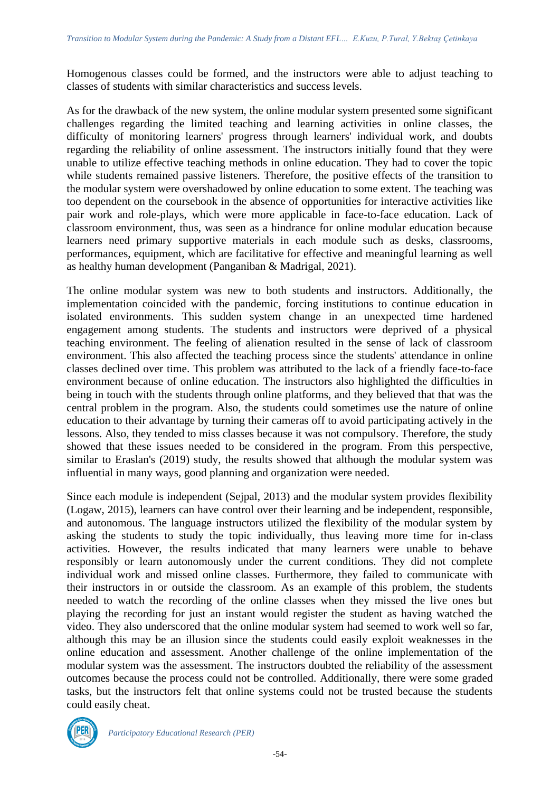Homogenous classes could be formed, and the instructors were able to adjust teaching to classes of students with similar characteristics and success levels.

As for the drawback of the new system, the online modular system presented some significant challenges regarding the limited teaching and learning activities in online classes, the difficulty of monitoring learners' progress through learners' individual work, and doubts regarding the reliability of online assessment. The instructors initially found that they were unable to utilize effective teaching methods in online education. They had to cover the topic while students remained passive listeners. Therefore, the positive effects of the transition to the modular system were overshadowed by online education to some extent. The teaching was too dependent on the coursebook in the absence of opportunities for interactive activities like pair work and role-plays, which were more applicable in face-to-face education. Lack of classroom environment, thus, was seen as a hindrance for online modular education because learners need primary supportive materials in each module such as desks, classrooms, performances, equipment, which are facilitative for effective and meaningful learning as well as healthy human development (Panganiban & Madrigal, 2021).

The online modular system was new to both students and instructors. Additionally, the implementation coincided with the pandemic, forcing institutions to continue education in isolated environments. This sudden system change in an unexpected time hardened engagement among students. The students and instructors were deprived of a physical teaching environment. The feeling of alienation resulted in the sense of lack of classroom environment. This also affected the teaching process since the students' attendance in online classes declined over time. This problem was attributed to the lack of a friendly face-to-face environment because of online education. The instructors also highlighted the difficulties in being in touch with the students through online platforms, and they believed that that was the central problem in the program. Also, the students could sometimes use the nature of online education to their advantage by turning their cameras off to avoid participating actively in the lessons. Also, they tended to miss classes because it was not compulsory. Therefore, the study showed that these issues needed to be considered in the program. From this perspective, similar to Eraslan's (2019) study, the results showed that although the modular system was influential in many ways, good planning and organization were needed.

Since each module is independent (Sejpal, 2013) and the modular system provides flexibility (Logaw, 2015), learners can have control over their learning and be independent, responsible, and autonomous. The language instructors utilized the flexibility of the modular system by asking the students to study the topic individually, thus leaving more time for in-class activities. However, the results indicated that many learners were unable to behave responsibly or learn autonomously under the current conditions. They did not complete individual work and missed online classes. Furthermore, they failed to communicate with their instructors in or outside the classroom. As an example of this problem, the students needed to watch the recording of the online classes when they missed the live ones but playing the recording for just an instant would register the student as having watched the video. They also underscored that the online modular system had seemed to work well so far, although this may be an illusion since the students could easily exploit weaknesses in the online education and assessment. Another challenge of the online implementation of the modular system was the assessment. The instructors doubted the reliability of the assessment outcomes because the process could not be controlled. Additionally, there were some graded tasks, but the instructors felt that online systems could not be trusted because the students could easily cheat.



*Participatory Educational Research (PER)*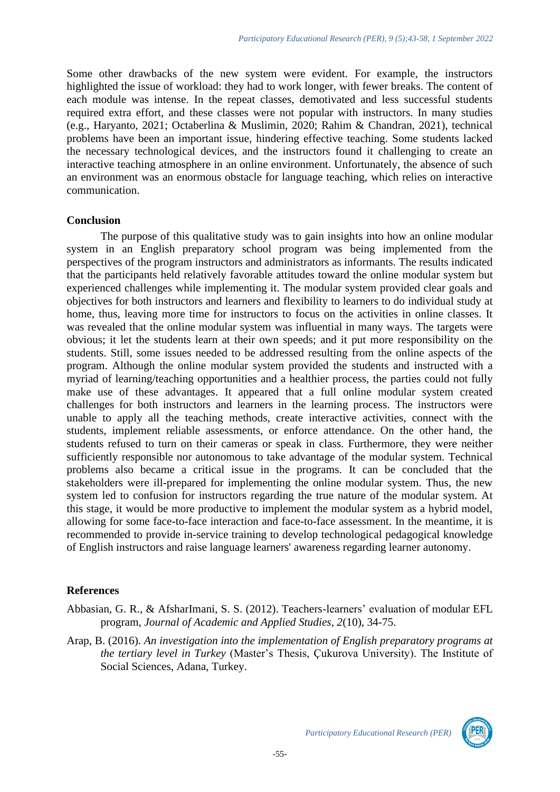Some other drawbacks of the new system were evident. For example, the instructors highlighted the issue of workload: they had to work longer, with fewer breaks. The content of each module was intense. In the repeat classes, demotivated and less successful students required extra effort, and these classes were not popular with instructors. In many studies (e.g., Haryanto, 2021; Octaberlina & Muslimin, 2020; Rahim & Chandran, 2021), technical problems have been an important issue, hindering effective teaching. Some students lacked the necessary technological devices, and the instructors found it challenging to create an interactive teaching atmosphere in an online environment. Unfortunately, the absence of such an environment was an enormous obstacle for language teaching, which relies on interactive communication.

## **Conclusion**

The purpose of this qualitative study was to gain insights into how an online modular system in an English preparatory school program was being implemented from the perspectives of the program instructors and administrators as informants. The results indicated that the participants held relatively favorable attitudes toward the online modular system but experienced challenges while implementing it. The modular system provided clear goals and objectives for both instructors and learners and flexibility to learners to do individual study at home, thus, leaving more time for instructors to focus on the activities in online classes. It was revealed that the online modular system was influential in many ways. The targets were obvious; it let the students learn at their own speeds; and it put more responsibility on the students. Still, some issues needed to be addressed resulting from the online aspects of the program. Although the online modular system provided the students and instructed with a myriad of learning/teaching opportunities and a healthier process, the parties could not fully make use of these advantages. It appeared that a full online modular system created challenges for both instructors and learners in the learning process. The instructors were unable to apply all the teaching methods, create interactive activities, connect with the students, implement reliable assessments, or enforce attendance. On the other hand, the students refused to turn on their cameras or speak in class. Furthermore, they were neither sufficiently responsible nor autonomous to take advantage of the modular system. Technical problems also became a critical issue in the programs. It can be concluded that the stakeholders were ill-prepared for implementing the online modular system. Thus, the new system led to confusion for instructors regarding the true nature of the modular system. At this stage, it would be more productive to implement the modular system as a hybrid model, allowing for some face-to-face interaction and face-to-face assessment. In the meantime, it is recommended to provide in-service training to develop technological pedagogical knowledge of English instructors and raise language learners' awareness regarding learner autonomy.

## **References**

- Abbasian, G. R., & AfsharImani, S. S. (2012). Teachers-learners' evaluation of modular EFL program, *Journal of Academic and Applied Studies, 2*(10), 34-75.
- Arap, B. (2016). *An investigation into the implementation of English preparatory programs at the tertiary level in Turkey* (Master's Thesis, Çukurova University). The Institute of Social Sciences, Adana, Turkey.

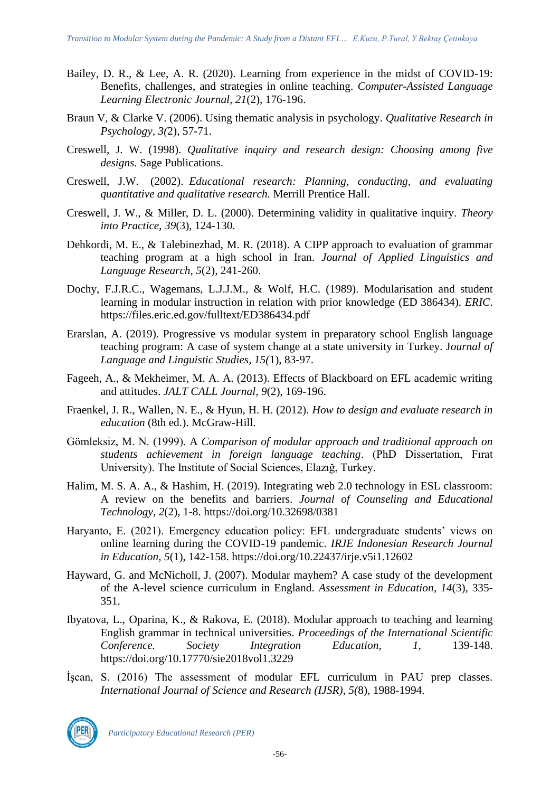- Bailey, D. R., & Lee, A. R. (2020). Learning from experience in the midst of COVID-19: Benefits, challenges, and strategies in online teaching. *Computer-Assisted Language Learning Electronic Journal, 21*(2), 176-196.
- Braun V, & Clarke V. (2006). Using thematic analysis in psychology. *Qualitative Research in Psychology, 3(*2), 57-71.
- Creswell, J. W. (1998). *Qualitative inquiry and research design: Choosing among five designs.* Sage Publications.
- Creswell, J.W. (2002). *Educational research: Planning, conducting, and evaluating quantitative and qualitative research.* Merrill Prentice Hall.
- Creswell, J. W., & Miller, D. L. (2000). Determining validity in qualitative inquiry. *Theory into Practice*, *39*(3), 124-130.
- Dehkordi, M. E., & Talebinezhad, M. R. (2018). A CIPP approach to evaluation of grammar teaching program at a high school in Iran. *Journal of Applied Linguistics and Language Research, 5*(2), 241-260.
- Dochy, F.J.R.C., Wagemans, L.J.J.M., & Wolf, H.C. (1989). Modularisation and student learning in modular instruction in relation with prior knowledge (ED 386434). *ERIC*. <https://files.eric.ed.gov/fulltext/ED386434.pdf>
- Erarslan, A. (2019). Progressive vs modular system in preparatory school English language teaching program: A case of system change at a state university in Turkey. J*ournal of Language and Linguistic Studies, 15(*1), 83-97.
- Fageeh, A., & Mekheimer, M. A. A. (2013). Effects of Blackboard on EFL academic writing and attitudes. *JALT CALL Journal, 9*(2), 169-196.
- Fraenkel, J. R., Wallen, N. E., & Hyun, H. H. (2012). *How to design and evaluate research in education* (8th ed.). McGraw-Hill.
- Gömleksiz, M. N. (1999). A *Comparison of modular approach and traditional approach on students achievement in foreign language teaching*. (PhD Dissertation, Fırat University). The Institute of Social Sciences, Elazığ, Turkey.
- Halim, M. S. A. A., & Hashim, H. (2019). Integrating web 2.0 technology in ESL classroom: A review on the benefits and barriers. *Journal of Counseling and Educational Technology, 2*(2), 1-8.<https://doi.org/10.32698/0381>
- Haryanto, E. (2021). Emergency education policy: EFL undergraduate students' views on online learning during the COVID-19 pandemic. *IRJE Indonesian Research Journal in Education, 5*(1), 142-158.<https://doi.org/10.22437/irje.v5i1.12602>
- Hayward, G. and McNicholl, J. (2007). Modular mayhem? A case study of the development of the A-level science curriculum in England. *Assessment in Education, 14*(3), 335- 351.
- Ibyatova, L., Oparina, K., & Rakova, E. (2018). Modular approach to teaching and learning English grammar in technical universities. *Proceedings of the International Scientific Conference. Society Integration Education, 1,* 139-148. [https://doi.org/10.17770/sie2018vol1.3229](https://doi.org/HYPERLINK%20%22http:/dx.doi.org/10.17770/sie2018vol1.3229%2210.17770/sie2018vol1.3229)
- İşcan, S. (2016) The assessment of modular EFL curriculum in PAU prep classes. *International Journal of Science and Research (IJSR), 5(*8), 1988-1994.



*Participatory Educational Research (PER)*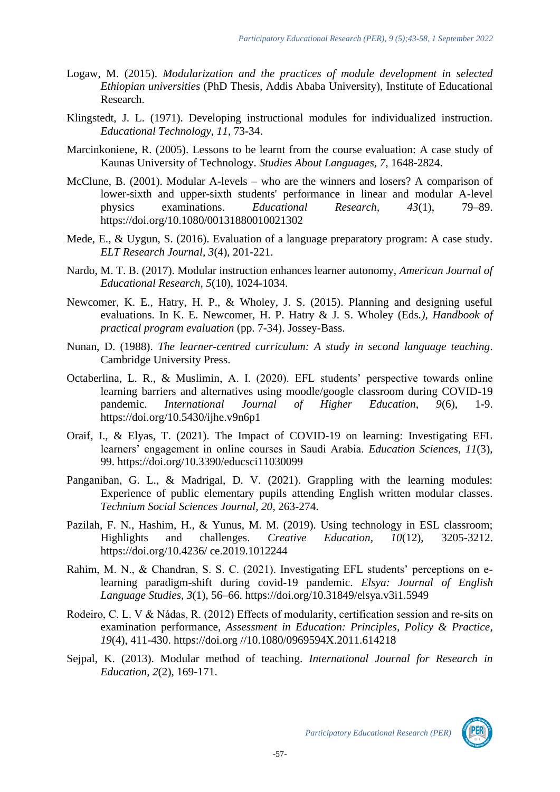- Logaw, M. (2015). *Modularization and the practices of module development in selected Ethiopian universities* (PhD Thesis, Addis Ababa University), Institute of Educational Research.
- Klingstedt, J. L. (1971). Developing instructional modules for individualized instruction. *Educational Technology, 11*, 73-34.
- Marcinkoniene, R. (2005). Lessons to be learnt from the course evaluation: A case study of Kaunas University of Technology. *Studies About Languages, 7*, 1648-2824.
- McClune, B. (2001). Modular A-levels who are the winners and losers? A comparison of lower-sixth and upper-sixth students' performance in linear and modular A-level physics examinations. *Educational Research, 43*(1), 79–89. <https://doi.org/10.1080/00131880010021302>
- Mede, E., & Uygun, S. (2016). Evaluation of a language preparatory program: A case study. *ELT Research Journal, 3*(4), 201-221.
- Nardo, M. T. B. (2017). Modular instruction enhances learner autonomy, *American Journal of Educational Research, 5*(10), 1024-1034.
- Newcomer, K. E., Hatry, H. P., & Wholey, J. S. (2015). Planning and designing useful evaluations. In K. E. Newcomer, H. P. Hatry & J. S. Wholey (Eds*.), Handbook of practical program evaluation* (pp. 7-34). Jossey-Bass.
- Nunan, D. (1988). *The learner-centred curriculum: A study in second language teaching*. Cambridge University Press.
- Octaberlina, L. R., & Muslimin, A. I. (2020). EFL students' perspective towards online learning barriers and alternatives using moodle/google classroom during COVID-19 pandemic. *International Journal of Higher Education, 9*(6), 1-9. <https://doi.org/10.5430/ijhe.v9n6p1>
- Oraif, I., & Elyas, T. (2021). The Impact of COVID-19 on learning: Investigating EFL learners' engagement in online courses in Saudi Arabia. *Education Sciences, 11*(3), 99.<https://doi.org/10.3390/educsci11030099>
- Panganiban, G. L., & Madrigal, D. V. (2021). Grappling with the learning modules: Experience of public elementary pupils attending English written modular classes. *Technium Social Sciences Journal, 20*, 263-274.
- Pazilah, F. N., Hashim, H., & Yunus, M. M. (2019). Using technology in ESL classroom; Highlights and challenges. *Creative Education, 10*(12), 3205-3212. https://doi.org/10.4236/ ce.2019.1012244
- Rahim, M. N., & Chandran, S. S. C. (2021). Investigating EFL students' perceptions on elearning paradigm-shift during covid-19 pandemic. *Elsya: Journal of English Language Studies, 3*(1), 56–66.<https://doi.org/10.31849/elsya.v3i1.5949>
- Rodeiro, C. L. V & Nádas, R. (2012) Effects of modularity, certification session and re-sits on examination performance, *Assessment in Education: Principles, Policy & Practice*, *19*(4), 411-430. https://doi.org //10.1080/0969594X.2011.614218
- Sejpal, K. (2013). Modular method of teaching. *International Journal for Research in Education, 2*(2), 169-171.